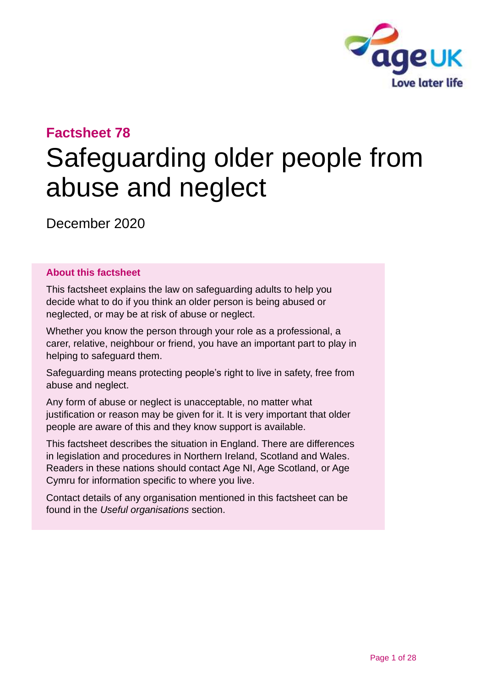

# **Factsheet 78**

# Safeguarding older people from abuse and neglect

December 2020

#### **About this factsheet**

This factsheet explains the law on safeguarding adults to help you decide what to do if you think an older person is being abused or neglected, or may be at risk of abuse or neglect.

Whether you know the person through your role as a professional, a carer, relative, neighbour or friend, you have an important part to play in helping to safeguard them.

Safeguarding means protecting people's right to live in safety, free from abuse and neglect.

Any form of abuse or neglect is unacceptable, no matter what justification or reason may be given for it. It is very important that older people are aware of this and they know support is available.

This factsheet describes the situation in England. There are differences in legislation and procedures in Northern Ireland, Scotland and Wales. Readers in these nations should contact [Age NI,](#page-26-0) [Age Scotland,](#page-26-1) or [Age](#page-26-2)  [Cymru](#page-26-2) for information specific to where you live.

Contact details of any organisation mentioned in this factsheet can be found in the *Useful [organisations](#page-24-0)* section.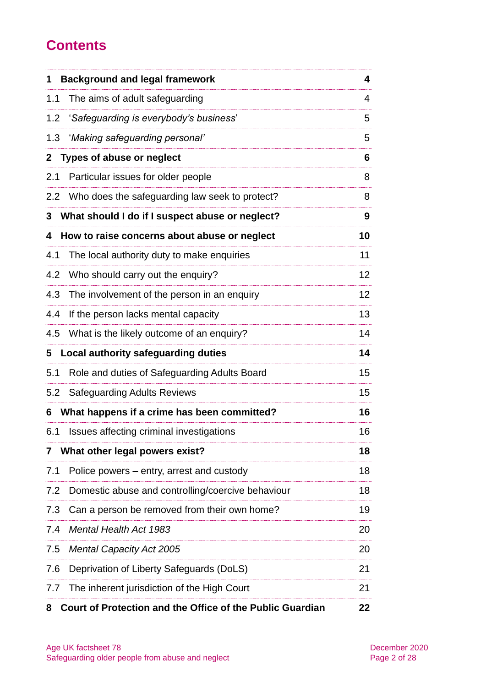# **Contents**

| 1                | <b>Background and legal framework</b>                     | 4               |
|------------------|-----------------------------------------------------------|-----------------|
| 1.1              | The aims of adult safeguarding                            | 4               |
| 1.2              | 'Safeguarding is everybody's business'                    | 5               |
| 1.3              | 'Making safeguarding personal'                            | 5               |
| $\mathbf{2}$     | <b>Types of abuse or neglect</b>                          | 6               |
| 2.1              | Particular issues for older people                        | 8               |
| $2.2\phantom{0}$ | Who does the safeguarding law seek to protect?            | 8               |
| 3                | What should I do if I suspect abuse or neglect?           | 9               |
| 4                | How to raise concerns about abuse or neglect              | 10              |
| 4.1              | The local authority duty to make enquiries                | 11              |
| 4.2              | Who should carry out the enquiry?                         | 12 <sub>2</sub> |
| 4.3              | The involvement of the person in an enquiry               | 12 <sub>2</sub> |
| 4.4              | If the person lacks mental capacity                       | 13              |
| 4.5              | What is the likely outcome of an enquiry?                 | 14              |
| 5                | Local authority safeguarding duties                       | 14              |
| 5.1              | Role and duties of Safeguarding Adults Board              | 15              |
| 5.2              | <b>Safeguarding Adults Reviews</b>                        | 15              |
| 6                | What happens if a crime has been committed?               | 16              |
| 6.1              | Issues affecting criminal investigations                  | 16              |
| 7                | What other legal powers exist?                            | 18              |
| 7.1              | Police powers – entry, arrest and custody                 | 18              |
| 7.2              | Domestic abuse and controlling/coercive behaviour         | 18              |
| 7.3              | Can a person be removed from their own home?              | 19              |
| 7.4              | <b>Mental Health Act 1983</b>                             | 20              |
| 7.5              | <b>Mental Capacity Act 2005</b>                           | 20              |
| 7.6              | Deprivation of Liberty Safeguards (DoLS)                  | 21              |
| 7.7              | The inherent jurisdiction of the High Court               | 21              |
| 8                | Court of Protection and the Office of the Public Guardian | 22              |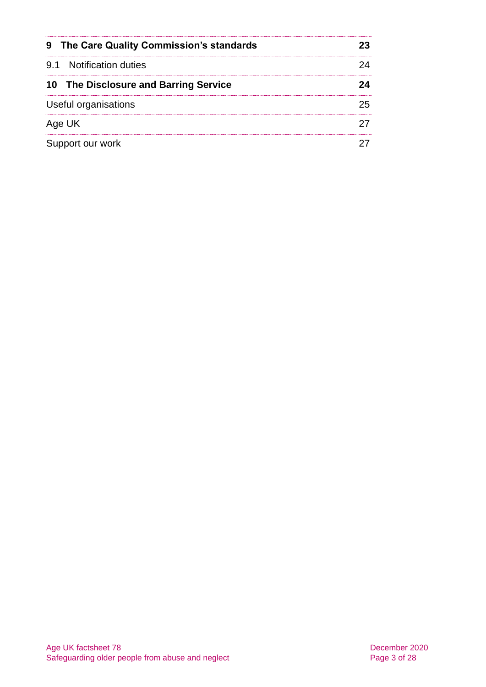| 9 The Care Quality Commission's standards |    |
|-------------------------------------------|----|
| 9.1 Notification duties                   |    |
| 10 The Disclosure and Barring Service     |    |
| Useful organisations                      | 25 |
| Age UK                                    |    |
| Support our work                          |    |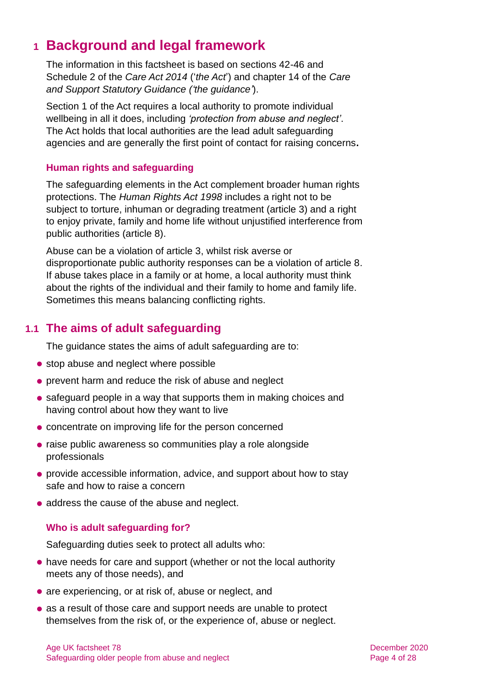# <span id="page-3-0"></span>**1 Background and legal framework**

The information in this factsheet is based on sections 42-46 and Schedule 2 of the *Care Act 2014* ('*the Act*') and chapter 14 of the *Care and Support Statutory Guidance ('the guidance'*).

Section 1 of the Act requires a local authority to promote individual wellbeing in all it does, including *'protection from abuse and neglect'*. The Act holds that local authorities are the lead adult safeguarding agencies and are generally the first point of contact for raising concerns**.**

#### **Human rights and safeguarding**

The safeguarding elements in the Act complement broader human rights protections. The *Human Rights Act 1998* includes a right not to be subject to torture, inhuman or degrading treatment (article 3) and a right to enjoy private, family and home life without unjustified interference from public authorities (article 8).

Abuse can be a violation of article 3, whilst risk averse or disproportionate public authority responses can be a violation of article 8. If abuse takes place in a family or at home, a local authority must think about the rights of the individual and their family to home and family life. Sometimes this means balancing conflicting rights.

# **1.1 The aims of adult safeguarding**

The guidance states the aims of adult safeguarding are to:

- stop abuse and neglect where possible
- ⚫ prevent harm and reduce the risk of abuse and neglect
- safeguard people in a way that supports them in making choices and having control about how they want to live
- ⚫ concentrate on improving life for the person concerned
- ⚫ raise public awareness so communities play a role alongside professionals
- ⚫ provide accessible information, advice, and support about how to stay safe and how to raise a concern
- address the cause of the abuse and neglect.

#### **Who is adult safeguarding for?**

Safeguarding duties seek to protect all adults who:

- ⚫ have needs for care and support (whether or not the local authority meets any of those needs), and
- are experiencing, or at risk of, abuse or neglect, and
- as a result of those care and support needs are unable to protect themselves from the risk of, or the experience of, abuse or neglect.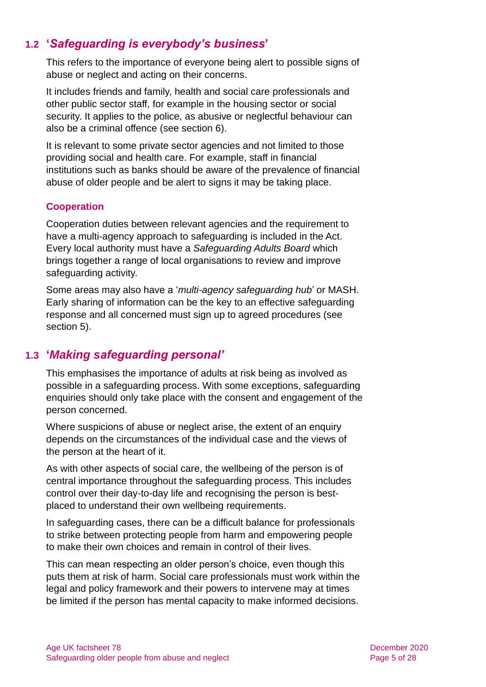# **1.2 '***Safeguarding is everybody's business***'**

This refers to the importance of everyone being alert to possible signs of abuse or neglect and acting on their concerns.

It includes friends and family, health and social care professionals and other public sector staff, for example in the housing sector or social security. It applies to the police, as abusive or neglectful behaviour can also be a criminal offence (see [section 6\)](#page-15-0).

It is relevant to some private sector agencies and not limited to those providing social and health care. For example, staff in financial institutions such as banks should be aware of the prevalence of financial abuse of older people and be alert to signs it may be taking place.

#### **Cooperation**

Cooperation duties between relevant agencies and the requirement to have a multi-agency approach to safeguarding is included in the Act. Every local authority must have a *Safeguarding Adults Board* which brings together a range of local organisations to review and improve safeguarding activity.

Some areas may also have a '*multi-agency safeguarding hub*' or MASH. Early sharing of information can be the key to an effective safeguarding response and all concerned must sign up to agreed procedures (see [section 5\)](#page-13-0).

### **1.3 '***Making safeguarding personal'*

This emphasises the importance of adults at risk being as involved as possible in a safeguarding process. With some exceptions, safeguarding enquiries should only take place with the consent and engagement of the person concerned.

Where suspicions of abuse or neglect arise, the extent of an enquiry depends on the circumstances of the individual case and the views of the person at the heart of it.

As with other aspects of social care, the wellbeing of the person is of central importance throughout the safeguarding process. This includes control over their day-to-day life and recognising the person is bestplaced to understand their own wellbeing requirements.

In safeguarding cases, there can be a difficult balance for professionals to strike between protecting people from harm and empowering people to make their own choices and remain in control of their lives.

This can mean respecting an older person's choice, even though this puts them at risk of harm. Social care professionals must work within the legal and policy framework and their powers to intervene may at times be limited if the person has mental capacity to make informed decisions.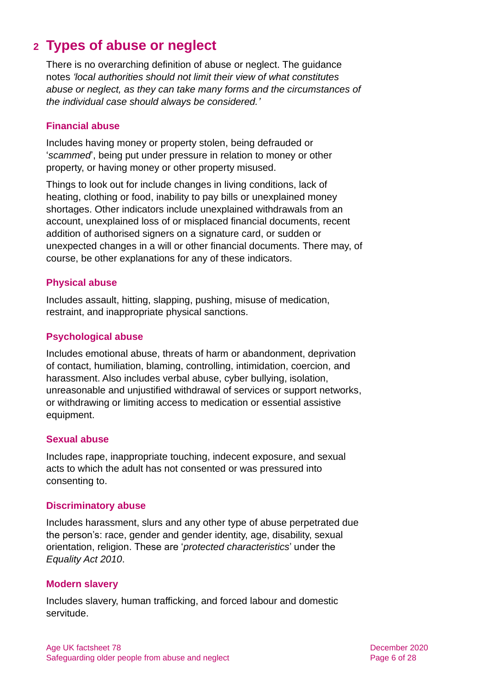# <span id="page-5-0"></span>**2 Types of abuse or neglect**

There is no overarching definition of abuse or neglect. The guidance notes *'local authorities should not limit their view of what constitutes abuse or neglect, as they can take many forms and the circumstances of the individual case should always be considered.'*

#### **Financial abuse**

Includes having money or property stolen, being defrauded or '*scammed*', being put under pressure in relation to money or other property, or having money or other property misused.

Things to look out for include changes in living conditions, lack of heating, clothing or food, inability to pay bills or unexplained money shortages. Other indicators include unexplained withdrawals from an account, unexplained loss of or misplaced financial documents, recent addition of authorised signers on a signature card, or sudden or unexpected changes in a will or other financial documents. There may, of course, be other explanations for any of these indicators.

#### **Physical abuse**

Includes assault, hitting, slapping, pushing, misuse of medication, restraint, and inappropriate physical sanctions.

#### **Psychological abuse**

Includes emotional abuse, threats of harm or abandonment, deprivation of contact, humiliation, blaming, controlling, intimidation, coercion, and harassment. Also includes verbal abuse, cyber bullying, isolation, unreasonable and unjustified withdrawal of services or support networks, or withdrawing or limiting access to medication or essential assistive equipment.

#### **Sexual abuse**

Includes rape, inappropriate touching, indecent exposure, and sexual acts to which the adult has not consented or was pressured into consenting to.

#### **Discriminatory abuse**

Includes harassment, slurs and any other type of abuse perpetrated due the person's: race, gender and gender identity, age, disability, sexual orientation, religion. These are '*protected characteristics*' under the *Equality Act 2010*.

#### **Modern slavery**

Includes slavery, human trafficking, and forced labour and domestic servitude.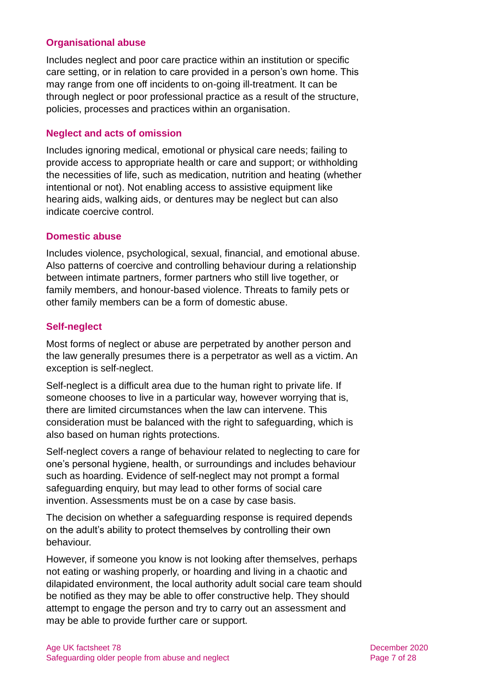#### **Organisational abuse**

Includes neglect and poor care practice within an institution or specific care setting, or in relation to care provided in a person's own home. This may range from one off incidents to on-going ill-treatment. It can be through neglect or poor professional practice as a result of the structure, policies, processes and practices within an organisation.

#### **Neglect and acts of omission**

Includes ignoring medical, emotional or physical care needs; failing to provide access to appropriate health or care and support; or withholding the necessities of life, such as medication, nutrition and heating (whether intentional or not). Not enabling access to assistive equipment like hearing aids, walking aids, or dentures may be neglect but can also indicate coercive control.

#### **Domestic abuse**

Includes violence, psychological, sexual, financial, and emotional abuse. Also patterns of coercive and controlling behaviour during a relationship between intimate partners, former partners who still live together, or family members, and honour-based violence. Threats to family pets or other family members can be a form of domestic abuse.

#### **Self-neglect**

Most forms of neglect or abuse are perpetrated by another person and the law generally presumes there is a perpetrator as well as a victim. An exception is self-neglect.

Self-neglect is a difficult area due to the human right to private life. If someone chooses to live in a particular way, however worrying that is, there are limited circumstances when the law can intervene. This consideration must be balanced with the right to safeguarding, which is also based on human rights protections.

Self-neglect covers a range of behaviour related to neglecting to care for one's personal hygiene, health, or surroundings and includes behaviour such as hoarding. Evidence of self-neglect may not prompt a formal safeguarding enquiry, but may lead to other forms of social care invention. Assessments must be on a case by case basis.

The decision on whether a safeguarding response is required depends on the adult's ability to protect themselves by controlling their own behaviour.

However, if someone you know is not looking after themselves, perhaps not eating or washing properly, or hoarding and living in a chaotic and dilapidated environment, the local authority adult social care team should be notified as they may be able to offer constructive help. They should attempt to engage the person and try to carry out an assessment and may be able to provide further care or support.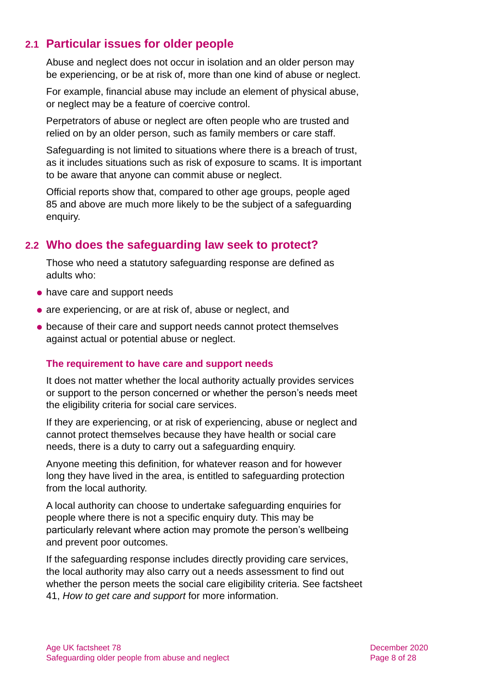### **2.1 Particular issues for older people**

Abuse and neglect does not occur in isolation and an older person may be experiencing, or be at risk of, more than one kind of abuse or neglect.

For example, financial abuse may include an element of physical abuse, or neglect may be a feature of coercive control.

Perpetrators of abuse or neglect are often people who are trusted and relied on by an older person, such as family members or care staff.

Safeguarding is not limited to situations where there is a breach of trust, as it includes situations such as risk of exposure to scams. It is important to be aware that anyone can commit abuse or neglect.

Official reports show that, compared to other age groups, people aged 85 and above are much more likely to be the subject of a safeguarding enquiry.

### **2.2 Who does the safeguarding law seek to protect?**

Those who need a statutory safeguarding response are defined as adults who:

- have care and support needs
- are experiencing, or are at risk of, abuse or neglect, and
- because of their care and support needs cannot protect themselves against actual or potential abuse or neglect.

#### **The requirement to have care and support needs**

It does not matter whether the local authority actually provides services or support to the person concerned or whether the person's needs meet the eligibility criteria for social care services.

If they are experiencing, or at risk of experiencing, abuse or neglect and cannot protect themselves because they have health or social care needs, there is a duty to carry out a safeguarding enquiry.

Anyone meeting this definition, for whatever reason and for however long they have lived in the area, is entitled to safeguarding protection from the local authority.

A local authority can choose to undertake safeguarding enquiries for people where there is not a specific enquiry duty. This may be particularly relevant where action may promote the person's wellbeing and prevent poor outcomes.

If the safeguarding response includes directly providing care services, the local authority may also carry out a needs assessment to find out whether the person meets the social care eligibility criteria. See factsheet 41, *[How to get care and support](https://www.ageuk.org.uk/globalassets/age-uk/documents/factsheets/fs41_how_to_get_care_and_support_fcs.pdf)* for more information.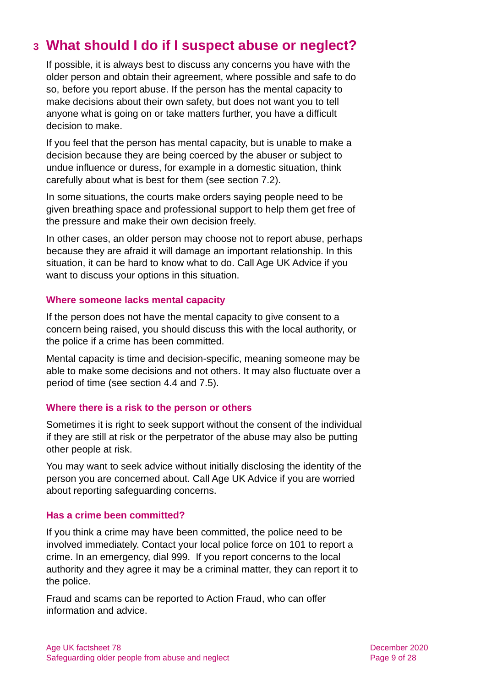# <span id="page-8-0"></span>**3 What should I do if I suspect abuse or neglect?**

If possible, it is always best to discuss any concerns you have with the older person and obtain their agreement, where possible and safe to do so, before you report abuse. If the person has the mental capacity to make decisions about their own safety, but does not want you to tell anyone what is going on or take matters further, you have a difficult decision to make.

If you feel that the person has mental capacity, but is unable to make a decision because they are being coerced by the abuser or subject to undue influence or duress, for example in a domestic situation, think carefully about what is best for them (see [section 7.2\)](#page-17-1).

In some situations, the courts make orders saying people need to be given breathing space and professional support to help them get free of the pressure and make their own decision freely.

In other cases, an older person may choose not to report abuse, perhaps because they are afraid it will damage an important relationship. In this situation, it can be hard to know what to do. [Call Age UK Advice](#page-26-3) if you want to discuss your options in this situation.

#### **Where someone lacks mental capacity**

If the person does not have the mental capacity to give consent to a concern being raised, you should discuss this with the local authority, or the police if a crime has been committed.

Mental capacity is time and decision-specific, meaning someone may be able to make some decisions and not others. It may also fluctuate over a period of time (see [section 4.4](#page-12-0) [and 7.5\)](#page-19-0).

#### **Where there is a risk to the person or others**

Sometimes it is right to seek support without the consent of the individual if they are still at risk or the perpetrator of the abuse may also be putting other people at risk.

You may want to seek advice without initially disclosing the identity of the person you are concerned about. Call [Age UK Advice](#page-26-3) if you are worried about reporting safeguarding concerns.

#### **Has a crime been committed?**

If you think a crime may have been committed, the police need to be involved immediately. Contact your local police force on 101 to report a crime. In an emergency, dial 999. If you report concerns to the local authority and they agree it may be a criminal matter, they can report it to the police.

Fraud and scams can be reported to [Action Fraud,](#page-24-0) who can offer information and advice.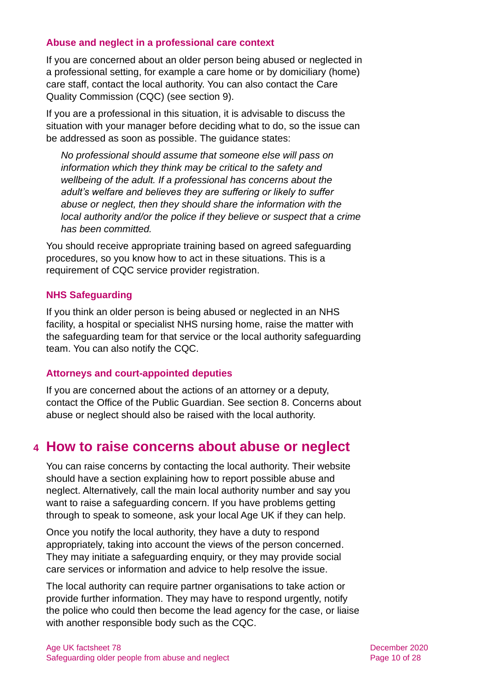#### **Abuse and neglect in a professional care context**

If you are concerned about an older person being abused or neglected in a professional setting, for example a care home or by domiciliary (home) care staff, contact the local authority. You can also contact the [Care](http://www.cqc.org.uk/)  [Quality Commission](http://www.cqc.org.uk/) (CQC) [\(see section 9\)](#page-22-0).

If you are a professional in this situation, it is advisable to discuss the situation with your manager before deciding what to do, so the issue can be addressed as soon as possible. The guidance states:

*No professional should assume that someone else will pass on information which they think may be critical to the safety and wellbeing of the adult. If a professional has concerns about the adult's welfare and believes they are suffering or likely to suffer abuse or neglect, then they should share the information with the local authority and/or the police if they believe or suspect that a crime has been committed.*

You should receive appropriate training based on agreed safeguarding procedures, so you know how to act in these situations. This is a requirement of CQC service provider registration.

#### **NHS Safeguarding**

If you think an older person is being abused or neglected in an NHS facility, a hospital or specialist NHS nursing home, raise the matter with the safeguarding team for that service or the local authority safeguarding team. You can also notify the [CQC.](#page-24-1)

#### **Attorneys and court-appointed deputies**

If you are concerned about the actions of an attorney or a deputy, contact the [Office of the Public Guardian.](#page-25-0) [See section 8.](#page-21-0) Concerns about abuse or neglect should also be raised with the local authority.

# <span id="page-9-0"></span>**4 How to raise concerns about abuse or neglect**

You can raise concerns by contacting the local authority. Their website should have a section explaining how to report possible abuse and neglect. Alternatively, call the main local authority number and say you want to raise a safeguarding concern. If you have problems getting through to speak to someone, ask your [local Age UK](#page-26-3) if they can help.

Once you notify the local authority, they have a duty to respond appropriately, taking into account the views of the person concerned. They may initiate a safeguarding enquiry, or they may provide social care services or information and advice to help resolve the issue.

The local authority can require partner organisations to take action or provide further information. They may have to respond urgently, notify the police who could then become the lead agency for the case, or liaise with another responsible body such as the [CQC.](#page-24-1)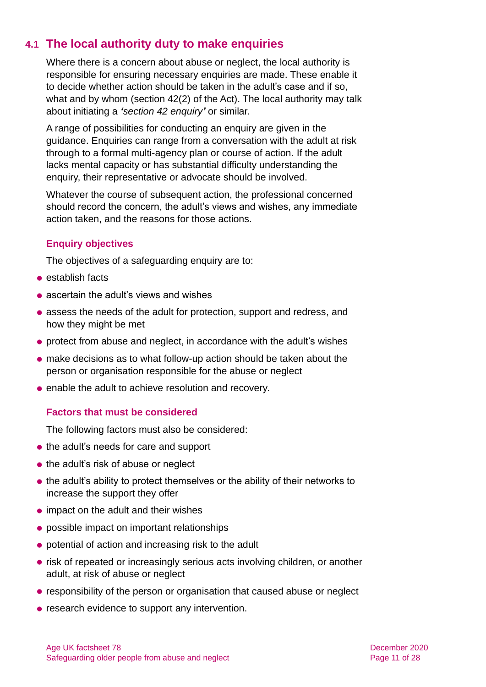# **4.1 The local authority duty to make enquiries**

Where there is a concern about abuse or neglect, the local authority is responsible for ensuring necessary enquiries are made. These enable it to decide whether action should be taken in the adult's case and if so, what and by whom (section 42(2) of the Act). The local authority may talk about initiating a *'section 42 enquiry'* or similar.

A range of possibilities for conducting an enquiry are given in the guidance. Enquiries can range from a conversation with the adult at risk through to a formal multi-agency plan or course of action. If the adult lacks mental capacity or has substantial difficulty understanding the enquiry, their representative or advocate should be involved.

Whatever the course of subsequent action, the professional concerned should record the concern, the adult's views and wishes, any immediate action taken, and the reasons for those actions.

#### **Enquiry objectives**

The objectives of a safeguarding enquiry are to:

- establish facts
- ascertain the adult's views and wishes
- ⚫ assess the needs of the adult for protection, support and redress, and how they might be met
- protect from abuse and neglect, in accordance with the adult's wishes
- ⚫ make decisions as to what follow-up action should be taken about the person or organisation responsible for the abuse or neglect
- enable the adult to achieve resolution and recovery.

#### **Factors that must be considered**

The following factors must also be considered:

- ⚫ the adult's needs for care and support
- the adult's risk of abuse or neglect
- the adult's ability to protect themselves or the ability of their networks to increase the support they offer
- impact on the adult and their wishes
- ⚫ possible impact on important relationships
- potential of action and increasing risk to the adult
- risk of repeated or increasingly serious acts involving children, or another adult, at risk of abuse or neglect
- responsibility of the person or organisation that caused abuse or neglect
- research evidence to support any intervention.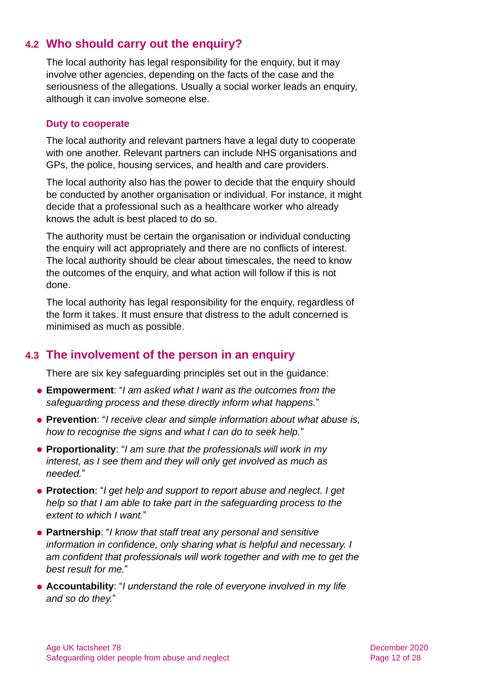# **4.2 Who should carry out the enquiry?**

The local authority has legal responsibility for the enquiry, but it may involve other agencies, depending on the facts of the case and the seriousness of the allegations. Usually a social worker leads an enquiry, although it can involve someone else.

#### **Duty to cooperate**

The local authority and relevant partners have a legal duty to cooperate with one another. Relevant partners can include NHS organisations and GPs, the police, housing services, and health and care providers.

The local authority also has the power to decide that the enquiry should be conducted by another organisation or individual. For instance, it might decide that a professional such as a healthcare worker who already knows the adult is best placed to do so.

The authority must be certain the organisation or individual conducting the enquiry will act appropriately and there are no conflicts of interest. The local authority should be clear about timescales, the need to know the outcomes of the enquiry, and what action will follow if this is not done.

The local authority has legal responsibility for the enquiry, regardless of the form it takes. It must ensure that distress to the adult concerned is minimised as much as possible.

### **4.3 The involvement of the person in an enquiry**

There are six key safeguarding principles set out in the guidance:

- ⚫ **Empowerment**: "*I am asked what I want as the outcomes from the safeguarding process and these directly inform what happens.*"
- ⚫ **Prevention**: "*I receive clear and simple information about what abuse is, how to recognise the signs and what I can do to seek help.*"
- ⚫ **Proportionality**: "*I am sure that the professionals will work in my interest, as I see them and they will only get involved as much as needed.*"
- ⚫ **Protection**: "*I get help and support to report abuse and neglect. I get help so that I am able to take part in the safeguarding process to the extent to which I want.*"
- ⚫ **Partnership**: "*I know that staff treat any personal and sensitive information in confidence, only sharing what is helpful and necessary. I am confident that professionals will work together and with me to get the best result for me.*"
- ⚫ **Accountability**: "*I understand the role of everyone involved in my life and so do they.*"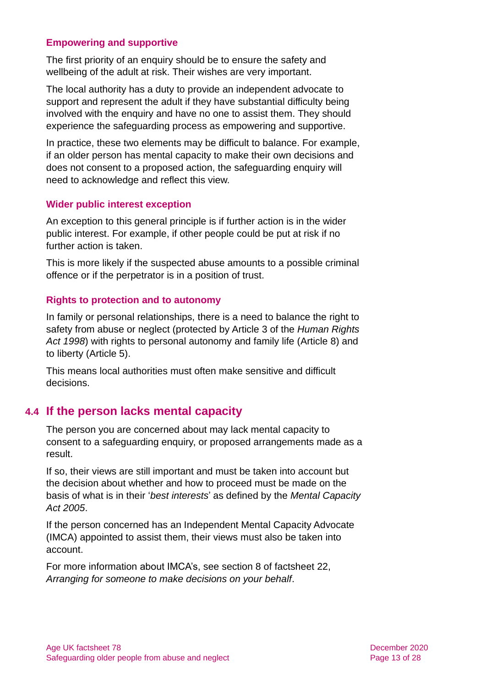#### **Empowering and supportive**

The first priority of an enquiry should be to ensure the safety and wellbeing of the adult at risk. Their wishes are very important.

The local authority has a duty to provide an independent advocate to support and represent the adult if they have substantial difficulty being involved with the enquiry and have no one to assist them. They should experience the safeguarding process as empowering and supportive.

In practice, these two elements may be difficult to balance. For example, if an older person has mental capacity to make their own decisions and does not consent to a proposed action, the safeguarding enquiry will need to acknowledge and reflect this view.

#### **Wider public interest exception**

An exception to this general principle is if further action is in the wider public interest. For example, if other people could be put at risk if no further action is taken.

This is more likely if the suspected abuse amounts to a possible criminal offence or if the perpetrator is in a position of trust.

#### **Rights to protection and to autonomy**

In family or personal relationships, there is a need to balance the right to safety from abuse or neglect (protected by Article 3 of the *Human Rights Act 1998*) with rights to personal autonomy and family life (Article 8) and to liberty (Article 5).

<span id="page-12-0"></span>This means local authorities must often make sensitive and difficult decisions.

### **4.4 If the person lacks mental capacity**

The person you are concerned about may lack mental capacity to consent to a safeguarding enquiry, or proposed arrangements made as a result.

If so, their views are still important and must be taken into account but the decision about whether and how to proceed must be made on the basis of what is in their '*best interests*' as defined by the *Mental Capacity Act 2005*.

If the person concerned has an Independent Mental Capacity Advocate (IMCA) appointed to assist them, their views must also be taken into account.

For more information about IMCA's, see section 8 of factsheet 22, *[Arranging for someone to make decisions on your behalf](https://www.ageuk.org.uk/globalassets/age-uk/documents/factsheets/fs22_arranging_for_someone_to_make_decisions_on_your_behalf_fcs.pdf)*.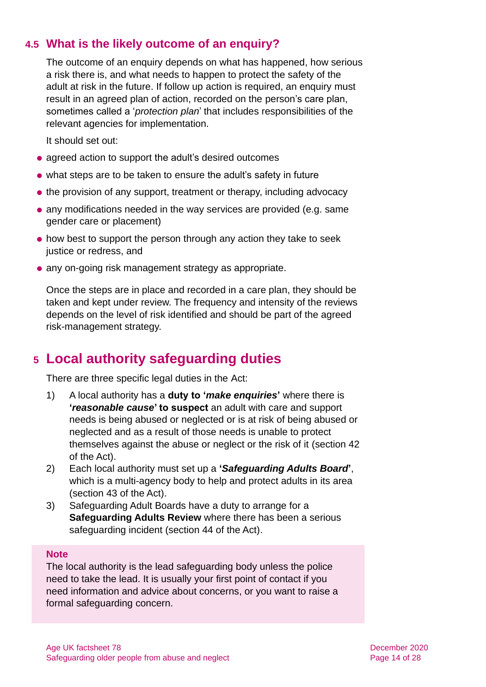### **4.5 What is the likely outcome of an enquiry?**

The outcome of an enquiry depends on what has happened, how serious a risk there is, and what needs to happen to protect the safety of the adult at risk in the future. If follow up action is required, an enquiry must result in an agreed plan of action, recorded on the person's care plan, sometimes called a '*protection plan*' that includes responsibilities of the relevant agencies for implementation.

It should set out:

- agreed action to support the adult's desired outcomes
- ⚫ what steps are to be taken to ensure the adult's safety in future
- the provision of any support, treatment or therapy, including advocacy
- ⚫ any modifications needed in the way services are provided (e.g. same gender care or placement)
- ⚫ how best to support the person through any action they take to seek justice or redress, and
- ⚫ any on-going risk management strategy as appropriate.

Once the steps are in place and recorded in a care plan, they should be taken and kept under review. The frequency and intensity of the reviews depends on the level of risk identified and should be part of the agreed risk-management strategy.

# <span id="page-13-0"></span>**5 Local authority safeguarding duties**

There are three specific legal duties in the Act:

- 1) A local authority has a **duty to '***make enquiries***'** where there is **'***reasonable cause***' to suspect** an adult with care and support needs is being abused or neglected or is at risk of being abused or neglected and as a result of those needs is unable to protect themselves against the abuse or neglect or the risk of it (section 42 of the Act).
- 2) Each local authority must set up a **'***Safeguarding Adults Board***'**, which is a multi-agency body to help and protect adults in its area (section 43 of the Act).
- 3) Safeguarding Adult Boards have a duty to arrange for a **Safeguarding Adults Review** where there has been a serious safeguarding incident (section 44 of the Act).

#### **Note**

The local authority is the lead safeguarding body unless the police need to take the lead. It is usually your first point of contact if you need information and advice about concerns, or you want to raise a formal safeguarding concern.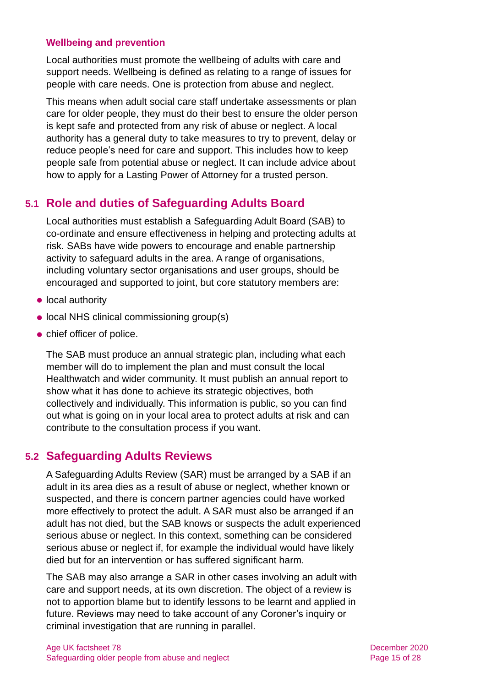#### **Wellbeing and prevention**

Local authorities must promote the wellbeing of adults with care and support needs. Wellbeing is defined as relating to a range of issues for people with care needs. One is protection from abuse and neglect.

This means when adult social care staff undertake assessments or plan care for older people, they must do their best to ensure the older person is kept safe and protected from any risk of abuse or neglect. A local authority has a general duty to take measures to try to prevent, delay or reduce people's need for care and support. This includes how to keep people safe from potential abuse or neglect. It can include advice about how to apply for a Lasting Power of Attorney for a trusted person.

# **5.1 Role and duties of Safeguarding Adults Board**

Local authorities must establish a Safeguarding Adult Board (SAB) to co-ordinate and ensure effectiveness in helping and protecting adults at risk. SABs have wide powers to encourage and enable partnership activity to safeguard adults in the area. A range of organisations, including voluntary sector organisations and user groups, should be encouraged and supported to joint, but core statutory members are:

- local authority
- local NHS clinical commissioning group(s)
- ⚫ chief officer of police.

The SAB must produce an annual strategic plan, including what each member will do to implement the plan and must consult the local Healthwatch and wider community. It must publish an annual report to show what it has done to achieve its strategic objectives, both collectively and individually. This information is public, so you can find out what is going on in your local area to protect adults at risk and can contribute to the consultation process if you want.

### **5.2 Safeguarding Adults Reviews**

A Safeguarding Adults Review (SAR) must be arranged by a SAB if an adult in its area dies as a result of abuse or neglect, whether known or suspected, and there is concern partner agencies could have worked more effectively to protect the adult. A SAR must also be arranged if an adult has not died, but the SAB knows or suspects the adult experienced serious abuse or neglect. In this context, something can be considered serious abuse or neglect if, for example the individual would have likely died but for an intervention or has suffered significant harm.

The SAB may also arrange a SAR in other cases involving an adult with care and support needs, at its own discretion. The object of a review is not to apportion blame but to identify lessons to be learnt and applied in future. Reviews may need to take account of any Coroner's inquiry or criminal investigation that are running in parallel.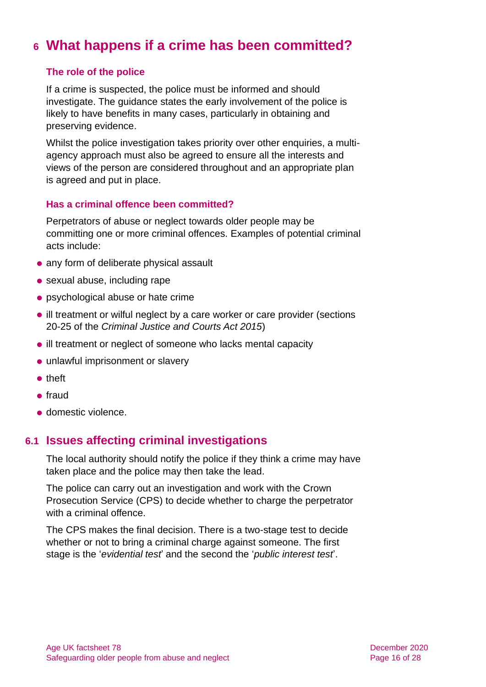# <span id="page-15-0"></span>**6 What happens if a crime has been committed?**

#### **The role of the police**

If a crime is suspected, the police must be informed and should investigate. The guidance states the early involvement of the police is likely to have benefits in many cases, particularly in obtaining and preserving evidence.

Whilst the police investigation takes priority over other enquiries, a multiagency approach must also be agreed to ensure all the interests and views of the person are considered throughout and an appropriate plan is agreed and put in place.

#### **Has a criminal offence been committed?**

Perpetrators of abuse or neglect towards older people may be committing one or more criminal offences. Examples of potential criminal acts include:

- ⚫ any form of deliberate physical assault
- sexual abuse, including rape
- ⚫ psychological abuse or hate crime
- ⚫ ill treatment or wilful neglect by a care worker or care provider (sections 20-25 of the *Criminal Justice and Courts Act 2015*)
- ill treatment or neglect of someone who lacks mental capacity
- unlawful imprisonment or slavery
- ⚫ theft
- ⚫ fraud
- ⚫ domestic violence.

### **6.1 Issues affecting criminal investigations**

The local authority should notify the police if they think a crime may have taken place and the police may then take the lead.

The police can carry out an investigation and work with the Crown Prosecution Service (CPS) to decide whether to charge the perpetrator with a criminal offence.

The CPS makes the final decision. There is a two-stage test to decide whether or not to bring a criminal charge against someone. The first stage is the '*evidential test*' and the second the '*public interest test*'.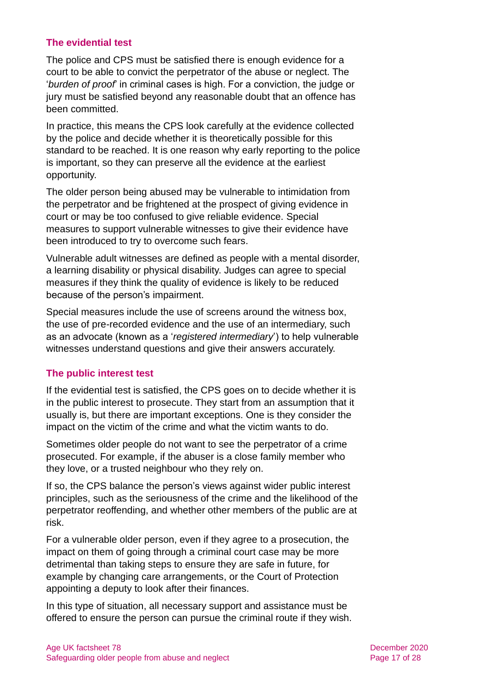#### **The evidential test**

The police and CPS must be satisfied there is enough evidence for a court to be able to convict the perpetrator of the abuse or neglect. The '*burden of proof*' in criminal cases is high. For a conviction, the judge or jury must be satisfied beyond any reasonable doubt that an offence has been committed.

In practice, this means the CPS look carefully at the evidence collected by the police and decide whether it is theoretically possible for this standard to be reached. It is one reason why early reporting to the police is important, so they can preserve all the evidence at the earliest opportunity.

The older person being abused may be vulnerable to intimidation from the perpetrator and be frightened at the prospect of giving evidence in court or may be too confused to give reliable evidence. Special measures to support vulnerable witnesses to give their evidence have been introduced to try to overcome such fears.

Vulnerable adult witnesses are defined as people with a mental disorder, a learning disability or physical disability. Judges can agree to special measures if they think the quality of evidence is likely to be reduced because of the person's impairment.

Special measures include the use of screens around the witness box, the use of pre-recorded evidence and the use of an intermediary, such as an advocate (known as a '*registered intermediary*') to help vulnerable witnesses understand questions and give their answers accurately.

#### **The public interest test**

If the evidential test is satisfied, the CPS goes on to decide whether it is in the public interest to prosecute. They start from an assumption that it usually is, but there are important exceptions. One is they consider the impact on the victim of the crime and what the victim wants to do.

Sometimes older people do not want to see the perpetrator of a crime prosecuted. For example, if the abuser is a close family member who they love, or a trusted neighbour who they rely on.

If so, the CPS balance the person's views against wider public interest principles, such as the seriousness of the crime and the likelihood of the perpetrator reoffending, and whether other members of the public are at risk.

For a vulnerable older person, even if they agree to a prosecution, the impact on them of going through a criminal court case may be more detrimental than taking steps to ensure they are safe in future, for example by changing care arrangements, or the Court of Protection appointing a deputy to look after their finances.

In this type of situation, all necessary support and assistance must be offered to ensure the person can pursue the criminal route if they wish.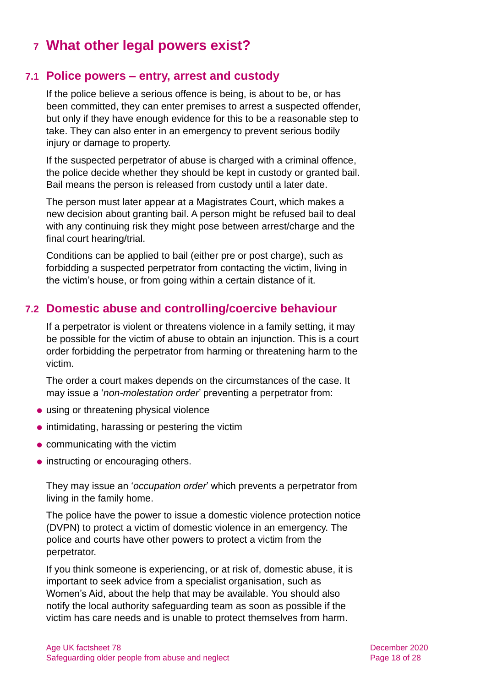# <span id="page-17-0"></span>**7 What other legal powers exist?**

### **7.1 Police powers – entry, arrest and custody**

If the police believe a serious offence is being, is about to be, or has been committed, they can enter premises to arrest a suspected offender, but only if they have enough evidence for this to be a reasonable step to take. They can also enter in an emergency to prevent serious bodily injury or damage to property.

If the suspected perpetrator of abuse is charged with a criminal offence, the police decide whether they should be kept in custody or granted bail. Bail means the person is released from custody until a later date.

The person must later appear at a Magistrates Court, which makes a new decision about granting bail. A person might be refused bail to deal with any continuing risk they might pose between arrest/charge and the final court hearing/trial.

Conditions can be applied to bail (either pre or post charge), such as forbidding a suspected perpetrator from contacting the victim, living in the victim's house, or from going within a certain distance of it.

### <span id="page-17-1"></span>**7.2 Domestic abuse and controlling/coercive behaviour**

If a perpetrator is violent or threatens violence in a family setting, it may be possible for the victim of abuse to obtain an injunction. This is a court order forbidding the perpetrator from harming or threatening harm to the victim.

The order a court makes depends on the circumstances of the case. It may issue a '*non-molestation order*' preventing a perpetrator from:

- ⚫ using or threatening physical violence
- ⚫ intimidating, harassing or pestering the victim
- communicating with the victim
- instructing or encouraging others.

They may issue an '*occupation order*' which prevents a perpetrator from living in the family home.

The police have the power to issue a domestic violence protection notice (DVPN) to protect a victim of domestic violence in an emergency. The police and courts have other powers to protect a victim from the perpetrator.

If you think someone is experiencing, or at risk of, domestic abuse, it is important to seek advice from a specialist organisation, such as Women's Aid, about the help that may be available. You should also notify the local authority safeguarding team as soon as possible if the victim has care needs and is unable to protect themselves from harm.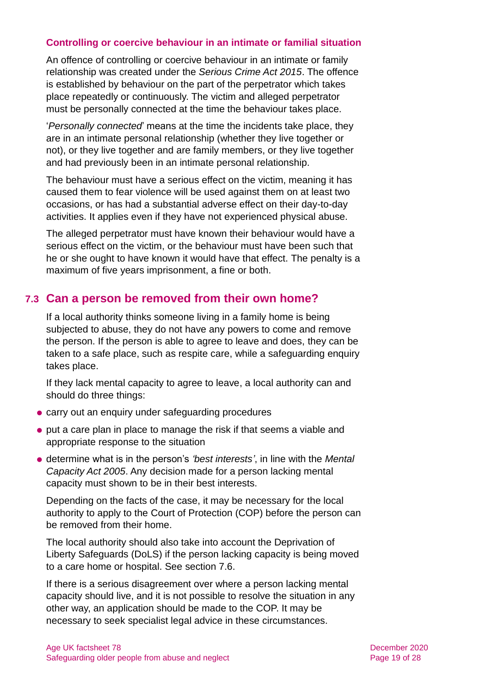#### **Controlling or coercive behaviour in an intimate or familial situation**

An offence of controlling or coercive behaviour in an intimate or family relationship was created under the *Serious Crime Act 2015*. The offence is established by behaviour on the part of the perpetrator which takes place repeatedly or continuously. The victim and alleged perpetrator must be personally connected at the time the behaviour takes place.

'*Personally connected*' means at the time the incidents take place, they are in an intimate personal relationship (whether they live together or not), or they live together and are family members, or they live together and had previously been in an intimate personal relationship.

The behaviour must have a serious effect on the victim, meaning it has caused them to fear violence will be used against them on at least two occasions, or has had a substantial adverse effect on their day-to-day activities. It applies even if they have not experienced physical abuse.

The alleged perpetrator must have known their behaviour would have a serious effect on the victim, or the behaviour must have been such that he or she ought to have known it would have that effect. The penalty is a maximum of five years imprisonment, a fine or both.

### **7.3 Can a person be removed from their own home?**

If a local authority thinks someone living in a family home is being subjected to abuse, they do not have any powers to come and remove the person. If the person is able to agree to leave and does, they can be taken to a safe place, such as respite care, while a safeguarding enquiry takes place.

If they lack mental capacity to agree to leave, a local authority can and should do three things:

- ⚫ carry out an enquiry under safeguarding procedures
- ⚫ put a care plan in place to manage the risk if that seems a viable and appropriate response to the situation
- ⚫ determine what is in the person's *'best interests'*, in line with the *Mental Capacity Act 2005*. Any decision made for a person lacking mental capacity must shown to be in their best interests.

Depending on the facts of the case, it may be necessary for the local authority to apply to the Court of Protection (COP) before the person can be removed from their home.

The local authority should also take into account the Deprivation of Liberty Safeguards (DoLS) if the person lacking capacity is being moved to a care home or hospital. See [section 7.6.](#page-20-0)

If there is a serious disagreement over where a person lacking mental capacity should live, and it is not possible to resolve the situation in any other way, an application should be made to the COP. It may be necessary to seek specialist legal advice in these circumstances.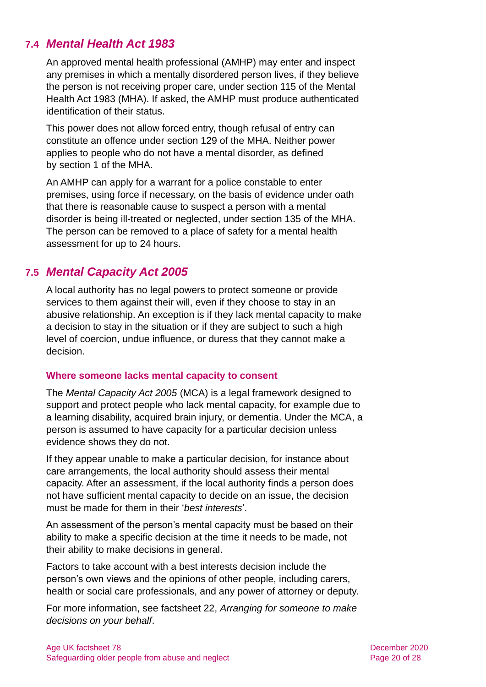# **7.4** *Mental Health Act 1983*

An approved mental health professional (AMHP) may enter and inspect any premises in which a mentally disordered person lives, if they believe the person is not receiving proper care, under section 115 of the Mental Health Act 1983 (MHA). If asked, the AMHP must produce authenticated identification of their status.

This power does not allow forced entry, though refusal of entry can constitute an offence under [section 129 of the MHA.](http://www.legislation.gov.uk/ukpga/1983/20/section/129) Neither power applies to people who do not have a mental disorder, as [defined](http://www.legislation.gov.uk/ukpga/1983/20/section/1)  by [section 1 of the MHA.](http://www.legislation.gov.uk/ukpga/1983/20/section/1)

An AMHP can apply for a warrant for a police constable to enter premises, using force if necessary, on the basis of evidence under oath that there is reasonable cause to suspect a person with a mental disorder is being ill-treated or neglected, under section 135 of the MHA. The person can be removed to a place of safety for a mental health assessment for up to 24 hours.

### <span id="page-19-0"></span>**7.5** *Mental Capacity Act 2005*

A local authority has no legal powers to protect someone or provide services to them against their will, even if they choose to stay in an abusive relationship. An exception is if they lack mental capacity to make a decision to stay in the situation or if they are subject to such a high level of coercion, undue influence, or duress that they cannot make a decision.

#### **Where someone lacks mental capacity to consent**

The *Mental Capacity Act 2005* (MCA) is a legal framework designed to support and protect people who lack mental capacity, for example due to a learning disability, acquired brain injury, or dementia. Under the MCA, a person is assumed to have capacity for a particular decision unless evidence shows they do not.

If they appear unable to make a particular decision, for instance about care arrangements, the local authority should assess their mental capacity. After an assessment, if the local authority finds a person does not have sufficient mental capacity to decide on an issue, the decision must be made for them in their '*best interests*'.

An assessment of the person's mental capacity must be based on their ability to make a specific decision at the time it needs to be made, not their ability to make decisions in general.

Factors to take account with a best interests decision include the person's own views and the opinions of other people, including carers, health or social care professionals, and any power of attorney or deputy.

For more information, see factsheet 22, *[Arranging for someone to make](https://www.ageuk.org.uk/globalassets/age-uk/documents/factsheets/fs22_arranging_for_someone_to_make_decisions_on_your_behalf_fcs.pdf)  [decisions on your behalf](https://www.ageuk.org.uk/globalassets/age-uk/documents/factsheets/fs22_arranging_for_someone_to_make_decisions_on_your_behalf_fcs.pdf)*.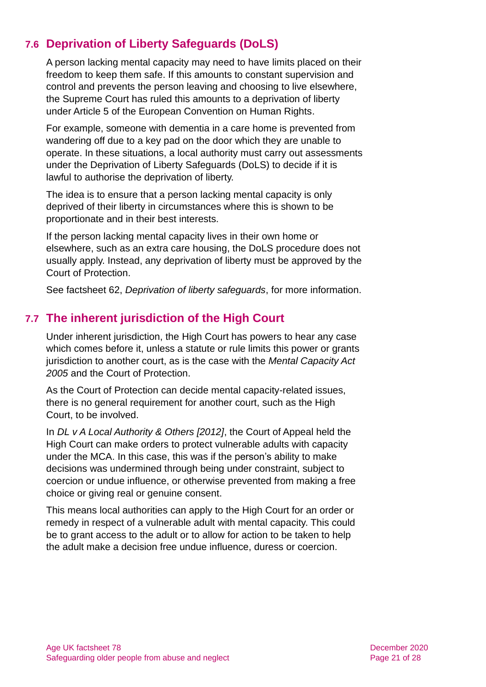# <span id="page-20-0"></span>**7.6 Deprivation of Liberty Safeguards (DoLS)**

A person lacking mental capacity may need to have limits placed on their freedom to keep them safe. If this amounts to constant supervision and control and prevents the person leaving and choosing to live elsewhere, the Supreme Court has ruled this amounts to a deprivation of liberty under Article 5 of the European Convention on Human Rights.

For example, someone with dementia in a care home is prevented from wandering off due to a key pad on the door which they are unable to operate. In these situations, a local authority must carry out assessments under the Deprivation of Liberty Safeguards (DoLS) to decide if it is lawful to authorise the deprivation of liberty.

The idea is to ensure that a person lacking mental capacity is only deprived of their liberty in circumstances where this is shown to be proportionate and in their best interests.

If the person lacking mental capacity lives in their own home or elsewhere, such as an extra care housing, the DoLS procedure does not usually apply. Instead, any deprivation of liberty must be approved by the Court of Protection.

See factsheet 62, *[Deprivation of liberty safeguards](https://www.ageuk.org.uk/globalassets/age-uk/documents/factsheets/fs62_deprivation_of_liberty_safeguards_fcs.pdf)*, for more information.

# **7.7 The inherent jurisdiction of the High Court**

Under inherent jurisdiction, the High Court has powers to hear any case which comes before it, unless a statute or rule limits this power or grants jurisdiction to another court, as is the case with the *Mental Capacity Act 2005* and the Court of Protection.

As the Court of Protection can decide mental capacity-related issues, there is no general requirement for another court, such as the High Court, to be involved.

In *[DL v A Local Authority & Others \[2012\]](http://www.bailii.org/ew/cases/EWCA/Civ/2012/253.html)*, the Court of Appeal held the High Court can make orders to protect vulnerable adults with capacity under the MCA. In this case, this was if the person's ability to make decisions was undermined through being under constraint, subject to coercion or undue influence, or otherwise prevented from making a free choice or giving real or genuine consent.

This means local authorities can apply to the High Court for an order or remedy in respect of a vulnerable adult with mental capacity. This could be to grant access to the adult or to allow for action to be taken to help the adult make a decision free undue influence, duress or coercion.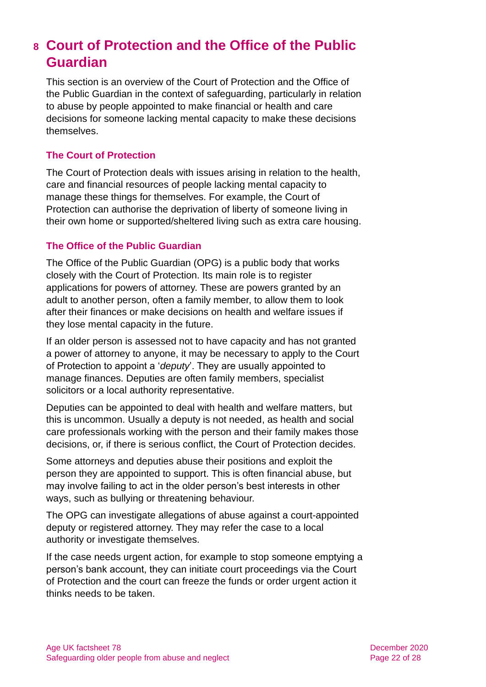# <span id="page-21-0"></span>**8 Court of Protection and the Office of the Public Guardian**

This section is an overview of the Court of Protection and the Office of the Public Guardian in the context of safeguarding, particularly in relation to abuse by people appointed to make financial or health and care decisions for someone lacking mental capacity to make these decisions themselves.

#### **The Court of Protection**

The Court of Protection deals with issues arising in relation to the health, care and financial resources of people lacking mental capacity to manage these things for themselves. For example, the Court of Protection can authorise the deprivation of liberty of someone living in their own home or supported/sheltered living such as extra care housing.

#### **The Office of the Public Guardian**

The Office of the Public Guardian (OPG) is a public body that works closely with the Court of Protection. Its main role is to register applications for powers of attorney. These are powers granted by an adult to another person, often a family member, to allow them to look after their finances or make decisions on health and welfare issues if they lose mental capacity in the future.

If an older person is assessed not to have capacity and has not granted a power of attorney to anyone, it may be necessary to apply to the Court of Protection to appoint a '*deputy*'. They are usually appointed to manage finances. Deputies are often family members, specialist solicitors or a local authority representative.

Deputies can be appointed to deal with health and welfare matters, but this is uncommon. Usually a deputy is not needed, as health and social care professionals working with the person and their family makes those decisions, or, if there is serious conflict, the Court of Protection decides.

Some attorneys and deputies abuse their positions and exploit the person they are appointed to support. This is often financial abuse, but may involve failing to act in the older person's best interests in other ways, such as bullying or threatening behaviour.

The OPG can investigate allegations of abuse against a court-appointed deputy or registered attorney. They may refer the case to a local authority or investigate themselves.

If the case needs urgent action, for example to stop someone emptying a person's bank account, they can initiate court proceedings via the Court of Protection and the court can freeze the funds or order urgent action it thinks needs to be taken.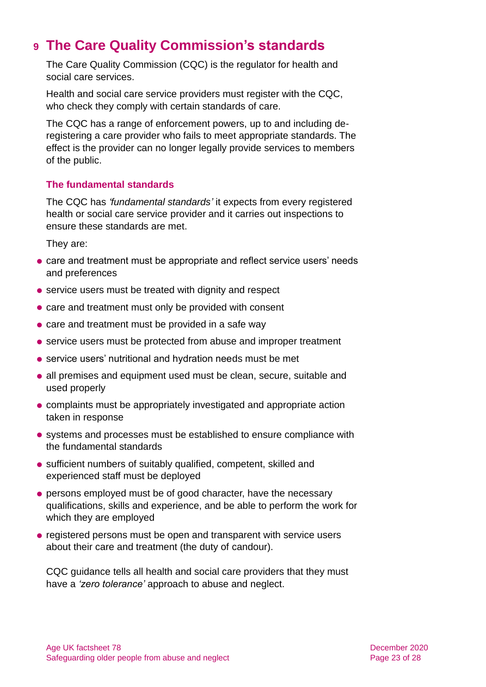# <span id="page-22-0"></span>**9 The Care Quality Commission's standards**

The Care Quality Commission (CQC) is the regulator for health and social care services.

Health and social care service providers must register with the CQC. who check they comply with certain standards of care.

The CQC has a range of enforcement powers, up to and including deregistering a care provider who fails to meet appropriate standards. The effect is the provider can no longer legally provide services to members of the public.

#### **The fundamental standards**

The CQC has *'fundamental standards'* it expects from every registered health or social care service provider and it carries out inspections to ensure these standards are met.

They are:

- care and treatment must be appropriate and reflect service users' needs and preferences
- service users must be treated with dignity and respect
- ⚫ care and treatment must only be provided with consent
- care and treatment must be provided in a safe way
- service users must be protected from abuse and improper treatment
- ⚫ service users' nutritional and hydration needs must be met
- ⚫ all premises and equipment used must be clean, secure, suitable and used properly
- ⚫ complaints must be appropriately investigated and appropriate action taken in response
- ⚫ systems and processes must be established to ensure compliance with the fundamental standards
- sufficient numbers of suitably qualified, competent, skilled and experienced staff must be deployed
- ⚫ persons employed must be of good character, have the necessary qualifications, skills and experience, and be able to perform the work for which they are employed
- registered persons must be open and transparent with service users about their care and treatment (the duty of candour).

CQC guidance tells all health and social care providers that they must have a *'zero tolerance'* approach to abuse and neglect.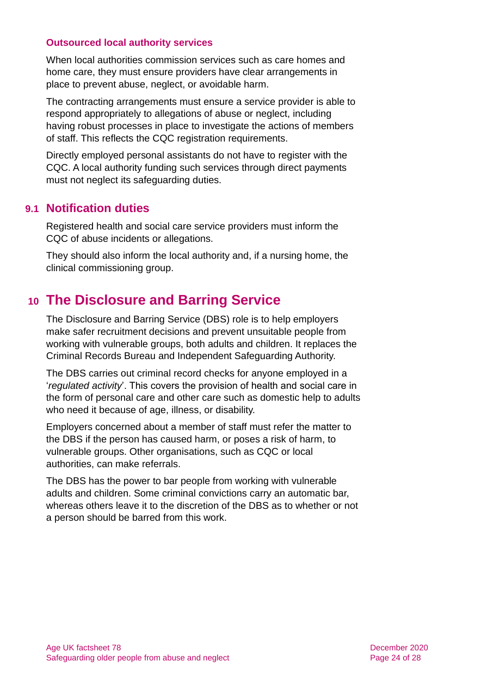#### **Outsourced local authority services**

When local authorities commission services such as care homes and home care, they must ensure providers have clear arrangements in place to prevent abuse, neglect, or avoidable harm.

The contracting arrangements must ensure a service provider is able to respond appropriately to allegations of abuse or neglect, including having robust processes in place to investigate the actions of members of staff. This reflects the CQC registration requirements.

Directly employed personal assistants do not have to register with the CQC. A local authority funding such services through direct payments must not neglect its safeguarding duties.

### **9.1 Notification duties**

Registered health and social care service providers must inform the CQC of abuse incidents or allegations.

<span id="page-23-0"></span>They should also inform the local authority and, if a nursing home, the clinical commissioning group.

# **10 The Disclosure and Barring Service**

The Disclosure and Barring Service (DBS) role is to help employers make safer recruitment decisions and prevent unsuitable people from working with vulnerable groups, both adults and children. It replaces the Criminal Records Bureau and Independent Safeguarding Authority.

The DBS carries out criminal record checks for anyone employed in a '*regulated activity*'. This covers the provision of health and social care in the form of personal care and other care such as domestic help to adults who need it because of age, illness, or disability.

Employers concerned about a member of staff must refer the matter to the DBS if the person has caused harm, or poses a risk of harm, to vulnerable groups. Other organisations, such as CQC or local authorities, can make referrals.

The DBS has the power to bar people from working with vulnerable adults and children. Some criminal convictions carry an automatic bar, whereas others leave it to the discretion of the DBS as to whether or not a person should be barred from this work.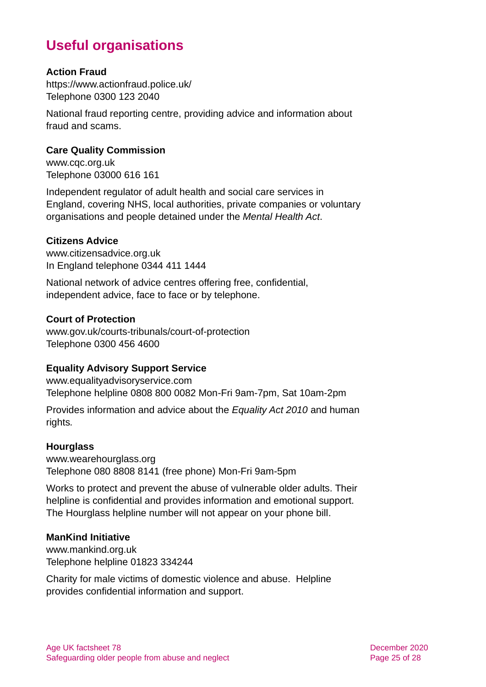# **Useful organisations**

#### <span id="page-24-0"></span>**Action Fraud**

<https://www.actionfraud.police.uk/> Telephone 0300 123 2040

National fraud reporting centre, providing advice and information about fraud and scams.

#### <span id="page-24-1"></span>**Care Quality Commission**

[www.cqc.org.uk](http://www.cqc.org.uk/) Telephone 03000 616 161

Independent regulator of adult health and social care services in England, covering NHS, local authorities, private companies or voluntary organisations and people detained under the *Mental Health Act*.

#### **Citizens Advice**

[www.citizensadvice.org.uk](http://www.citizensadvice.org.uk/) In England telephone 0344 411 1444

National network of advice centres offering free, confidential, independent advice, face to face or by telephone.

#### **Court of Protection**

[www.gov.uk/courts-tribunals/court-of-protection](http://www.gov.uk/courts-tribunals/court-of-protection)  Telephone 0300 456 4600

#### **Equality Advisory Support Service**

[www.equalityadvisoryservice.com](http://www.equalityadvisoryservice.com/) Telephone helpline 0808 800 0082 Mon-Fri 9am-7pm, Sat 10am-2pm

Provides information and advice about the *Equality Act 2010* and human rights*.*

#### **Hourglass**

[www.wearehourglass.org](http://www.wearehourglass.org.uk/) Telephone 080 8808 8141 (free phone) Mon-Fri 9am-5pm

Works to protect and prevent the abuse of vulnerable older adults. Their helpline is confidential and provides information and emotional support. The Hourglass helpline number will not appear on your phone bill.

#### **ManKind Initiative**

[www.mankind.org.uk](http://www.mankind.org.uk/) Telephone helpline 01823 334244

Charity for male victims of domestic violence and abuse. Helpline provides confidential information and support.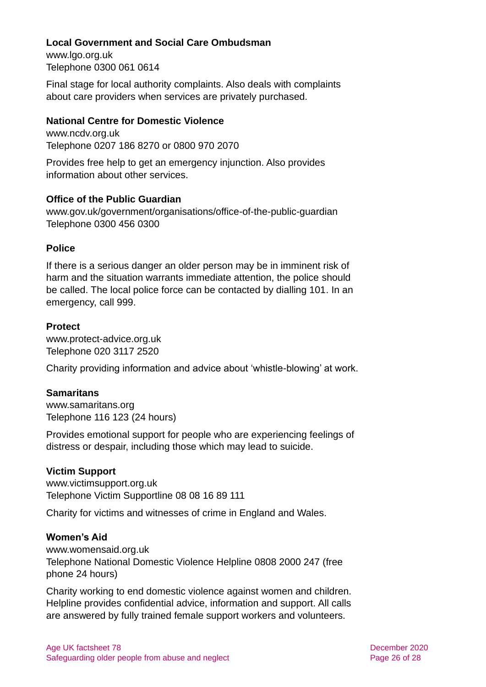#### **Local Government and Social Care Ombudsman**

[www.lgo.org.uk](http://www.lgo.org.uk/) Telephone 0300 061 0614

Final stage for local authority complaints. Also deals with complaints about care providers when services are privately purchased.

#### **National Centre for Domestic Violence**

[www.ncdv.org.uk](http://www.ncdv.org.uk/) Telephone 0207 186 8270 or 0800 970 2070

Provides free help to get an emergency injunction. Also provides information about other services.

#### <span id="page-25-0"></span>**Office of the Public Guardian**

[www.gov.uk/government/organisations/office-of-the-public-guardian](http://www.gov.uk/government/organisations/office-of-the-public-guardian) Telephone 0300 456 0300

#### **Police**

If there is a serious danger an older person may be in imminent risk of harm and the situation warrants immediate attention, the police should be called. The local police force can be contacted by dialling 101. In an emergency, call 999.

#### **Protect**

[www.protect-advice.org.uk](http://www.protect-advice.org.uk/) Telephone 020 3117 2520

Charity providing information and advice about 'whistle-blowing' at work.

#### **Samaritans**

[www.samaritans.org](http://www.samaritans.org/) Telephone 116 123 (24 hours)

Provides emotional support for people who are experiencing feelings of distress or despair, including those which may lead to suicide.

#### **Victim Support**

[www.victimsupport.org.uk](http://www.victimsupport.org.uk/) Telephone Victim Supportline 08 08 16 89 111

Charity for victims and witnesses of crime in England and Wales.

#### **Women's Aid**

[www.womensaid.org.uk](http://www.womensaid.org.uk/) Telephone National Domestic Violence Helpline 0808 2000 247 (free phone 24 hours)

Charity working to end domestic violence against women and children. Helpline provides confidential advice, information and support. All calls are answered by fully trained female support workers and volunteers.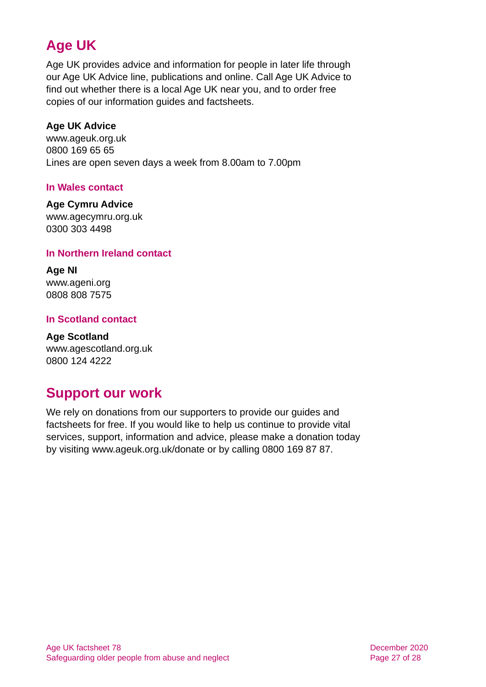# **Age UK**

Age UK provides advice and information for people in later life through our Age UK Advice line, publications and online. Call Age UK Advice to find out whether there is a local Age UK near you, and to order free copies of our information guides and factsheets.

#### <span id="page-26-3"></span>**Age UK Advice**

[www.ageuk.org.uk](http://www.ageuk.org.uk/) 0800 169 65 65 Lines are open seven days a week from 8.00am to 7.00pm

#### <span id="page-26-2"></span>**In Wales contact**

#### **Age Cymru Advice**

[www.agecymru.org.uk](http://www.agecymru.org.uk/) 0300 303 4498

#### <span id="page-26-0"></span>**In Northern Ireland contact**

**Age NI** [www.ageni.org](http://www.ageni.org/) 0808 808 7575

#### <span id="page-26-1"></span>**In Scotland contact**

<span id="page-26-4"></span>**Age Scotland** [www.agescotland.org.uk](http://www.agescotland.org.uk/) 0800 124 4222

# **Support our work**

We rely on donations from our supporters to provide our guides and factsheets for free. If you would like to help us continue to provide vital services, support, information and advice, please make a donation today by visiting [www.ageuk.org.uk/donate](http://www.ageuk.org.uk/donate) or by calling 0800 169 87 87.